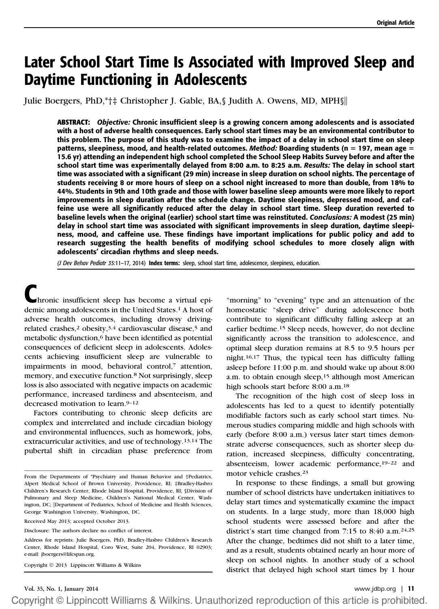# Later School Start Time Is Associated with Improved Sleep and Daytime Functioning in Adolescents

Julie Boergers, PhD,\*†‡ Christopher J. Gable, BA, § Judith A. Owens, MD, MPH §

ABSTRACT: Objective: Chronic insufficient sleep is a growing concern among adolescents and is associated with a host of adverse health consequences. Early school start times may be an environmental contributor to this problem. The purpose of this study was to examine the impact of a delay in school start time on sleep patterns, sleepiness, mood, and health-related outcomes. Method: Boarding students ( $n = 197$ , mean age  $=$ 15.6 yr) attending an independent high school completed the School Sleep Habits Survey before and after the school start time was experimentally delayed from 8:00 a.m. to 8:25 a.m. Results: The delay in school start time was associated with a significant (29 min) increase in sleep duration on school nights. The percentage of students receiving 8 or more hours of sleep on a school night increased to more than double, from 18% to 44%. Students in 9th and 10th grade and those with lower baseline sleep amounts were more likely to report improvements in sleep duration after the schedule change. Daytime sleepiness, depressed mood, and caffeine use were all significantly reduced after the delay in school start time. Sleep duration reverted to baseline levels when the original (earlier) school start time was reinstituted. Conclusions: A modest (25 min) delay in school start time was associated with significant improvements in sleep duration, daytime sleepiness, mood, and caffeine use. These findings have important implications for public policy and add to research suggesting the health benefits of modifying school schedules to more closely align with adolescents' circadian rhythms and sleep needs.

(J Dev Behav Pediatr 35:11-17, 2014) Index terms: sleep, school start time, adolescence, sleepiness, education.

hronic insufficient sleep has become a virtual epidemic among adolescents in the United States.1 A host of adverse health outcomes, including drowsy drivingrelated crashes,<sup>2</sup> obesity,<sup>3,4</sup> cardiovascular disease,<sup>5</sup> and metabolic dysfunction,<sup>6</sup> have been identified as potential consequences of deficient sleep in adolescents. Adolescents achieving insufficient sleep are vulnerable to impairments in mood, behavioral control,7 attention, memory, and executive function.8 Not surprisingly, sleep loss is also associated with negative impacts on academic performance, increased tardiness and absenteeism, and decreased motivation to learn.9–<sup>12</sup>

Factors contributing to chronic sleep deficits are complex and interrelated and include circadian biology and environmental influences, such as homework, jobs, extracurricular activities, and use of technology.13,14 The pubertal shift in circadian phase preference from

Copyright  $@$  2013 Lippincott Williams & Wilkins

"morning" to "evening" type and an attenuation of the homeostatic "sleep drive" during adolescence both contribute to significant difficulty falling asleep at an earlier bedtime.15 Sleep needs, however, do not decline significantly across the transition to adolescence, and optimal sleep duration remains at 8.5 to 9.5 hours per night.16,17 Thus, the typical teen has difficulty falling asleep before 11:00 p.m. and should wake up about 8:00 a.m. to obtain enough sleep,<sup>15</sup> although most American high schools start before 8:00 a.m.18

The recognition of the high cost of sleep loss in adolescents has led to a quest to identify potentially modifiable factors such as early school start times. Numerous studies comparing middle and high schools with early (before 8:00 a.m.) versus later start times demonstrate adverse consequences, such as shorter sleep duration, increased sleepiness, difficulty concentrating, absenteeism, lower academic performance,19–<sup>22</sup> and motor vehicle crashes.23

In response to these findings, a small but growing number of school districts have undertaken initiatives to delay start times and systematically examine the impact on students. In a large study, more than 18,000 high school students were assessed before and after the district's start time changed from 7:15 to 8:40 a.m.24,25 After the change, bedtimes did not shift to a later time, and as a result, students obtained nearly an hour more of sleep on school nights. In another study of a school district that delayed high school start times by 1 hour

From the Departments of \*Psychiatry and Human Behavior and †Pediatrics, Alpert Medical School of Brown University, Providence, RI; ‡Bradley-Hasbro Children's Research Center, Rhode Island Hospital, Providence, RI; §Division of Pulmonary and Sleep Medicine, Children's National Medical Center, Washington, DC;  $\|$ Department of Pediatrics, School of Medicine and Health Sciences, George Washington University, Washington, DC.

Received May 2013; accepted October 2013.

Disclosure: The authors declare no conflict of interest.

Address for reprints: Julie Boergers, PhD, Bradley-Hasbro Children's Research Center, Rhode Island Hospital, Coro West, Suite 204, Providence, RI 02903; e-mail: jboergers@lifespan.org.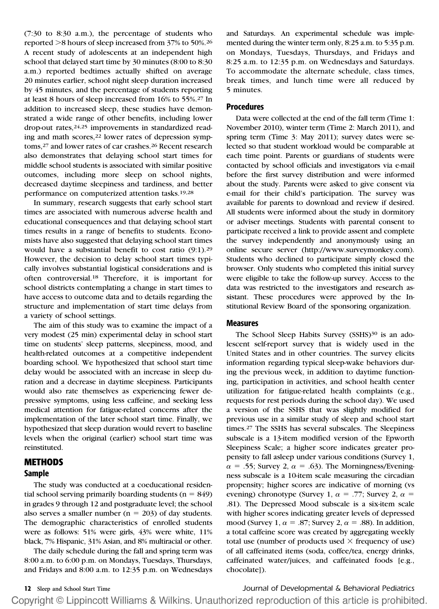(7:30 to 8:30 a.m.), the percentage of students who reported >8 hours of sleep increased from 37% to 50%.<sup>26</sup> A recent study of adolescents at an independent high school that delayed start time by 30 minutes (8:00 to 8:30 a.m.) reported bedtimes actually shifted on average 20 minutes earlier, school night sleep duration increased by 45 minutes, and the percentage of students reporting at least 8 hours of sleep increased from 16% to 55%.27 In addition to increased sleep, these studies have demonstrated a wide range of other benefits, including lower drop-out rates,24,25 improvements in standardized reading and math scores,<sup>22</sup> lower rates of depression symptoms,27 and lower rates of car crashes.26 Recent research also demonstrates that delaying school start times for middle school students is associated with similar positive outcomes, including more sleep on school nights, decreased daytime sleepiness and tardiness, and better performance on computerized attention tasks.19,28

In summary, research suggests that early school start times are associated with numerous adverse health and educational consequences and that delaying school start times results in a range of benefits to students. Economists have also suggested that delaying school start times would have a substantial benefit to cost ratio (9:1).29 However, the decision to delay school start times typically involves substantial logistical considerations and is often controversial.18 Therefore, it is important for school districts contemplating a change in start times to have access to outcome data and to details regarding the structure and implementation of start time delays from a variety of school settings.

The aim of this study was to examine the impact of a very modest (25 min) experimental delay in school start time on students' sleep patterns, sleepiness, mood, and health-related outcomes at a competitive independent boarding school. We hypothesized that school start time delay would be associated with an increase in sleep duration and a decrease in daytime sleepiness. Participants would also rate themselves as experiencing fewer depressive symptoms, using less caffeine, and seeking less medical attention for fatigue-related concerns after the implementation of the later school start time. Finally, we hypothesized that sleep duration would revert to baseline levels when the original (earlier) school start time was reinstituted.

## METHODS

#### Sample

The study was conducted at a coeducational residential school serving primarily boarding students ( $n = 849$ ) in grades 9 through 12 and postgraduate level; the school also serves a smaller number ( $n = 203$ ) of day students. The demographic characteristics of enrolled students were as follows: 51% were girls, 43% were white, 11% black, 7% Hispanic, 31% Asian, and 8% multiracial or other.

The daily schedule during the fall and spring term was 8:00 a.m. to 6:00 p.m. on Mondays, Tuesdays, Thursdays, and Fridays and 8:00 a.m. to 12:35 p.m. on Wednesdays and Saturdays. An experimental schedule was implemented during the winter term only, 8:25 a.m. to 5:35 p.m. on Mondays, Tuesdays, Thursdays, and Fridays and 8:25 a.m. to 12:35 p.m. on Wednesdays and Saturdays. To accommodate the alternate schedule, class times, break times, and lunch time were all reduced by 5 minutes.

### Procedures

Data were collected at the end of the fall term (Time 1: November 2010), winter term (Time 2: March 2011), and spring term (Time 3: May 2011); survey dates were selected so that student workload would be comparable at each time point. Parents or guardians of students were contacted by school officials and investigators via e-mail before the first survey distribution and were informed about the study. Parents were asked to give consent via e-mail for their child's participation. The survey was available for parents to download and review if desired. All students were informed about the study in dormitory or adviser meetings. Students with parental consent to participate received a link to provide assent and complete the survey independently and anonymously using an online secure server (http://www.surveymonkey.com). Students who declined to participate simply closed the browser. Only students who completed this initial survey were eligible to take the follow-up survey. Access to the data was restricted to the investigators and research assistant. These procedures were approved by the Institutional Review Board of the sponsoring organization.

#### Measures

The School Sleep Habits Survey (SSHS)<sup>30</sup> is an adolescent self-report survey that is widely used in the United States and in other countries. The survey elicits information regarding typical sleep-wake behaviors during the previous week, in addition to daytime functioning, participation in activities, and school health center utilization for fatigue-related health complaints (e.g., requests for rest periods during the school day). We used a version of the SSHS that was slightly modified for previous use in a similar study of sleep and school start times.27 The SSHS has several subscales. The Sleepiness subscale is a 13-item modified version of the Epworth Sleepiness Scale; a higher score indicates greater propensity to fall asleep under various conditions (Survey 1,  $\alpha$  = .55; Survey 2,  $\alpha$  = .63). The Morningness/Eveningness subscale is a 10-item scale measuring the circadian propensity; higher scores are indicative of morning (vs evening) chronotype (Survey 1,  $\alpha = .77$ ; Survey 2,  $\alpha =$ .81). The Depressed Mood subscale is a six-item scale with higher scores indicating greater levels of depressed mood (Survey 1,  $\alpha = .87$ ; Survey 2,  $\alpha = .88$ ). In addition, a total caffeine score was created by aggregating weekly total use (number of products used  $\times$  frequency of use) of all caffeinated items (soda, coffee/tea, energy drinks, caffeinated water/juices, and caffeinated foods [e.g., chocolate]).

12 Sleep and School Start Time **12 Sleep and School Start Time** Journal of Developmental & Behavioral Pediatrics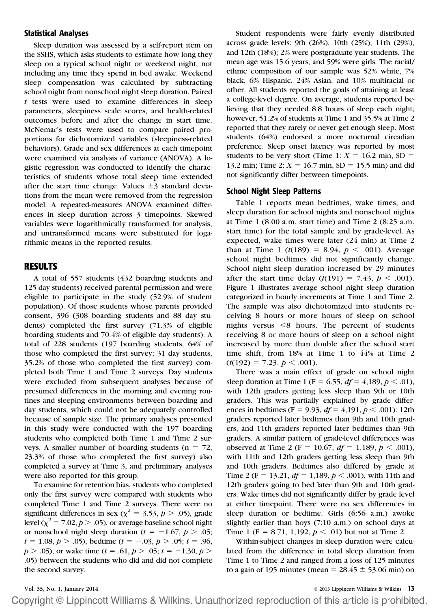#### Statistical Analyses

Sleep duration was assessed by a self-report item on the SSHS, which asks students to estimate how long they sleep on a typical school night or weekend night, not including any time they spend in bed awake. Weekend sleep compensation was calculated by subtracting school night from nonschool night sleep duration. Paired  $t$  tests were used to examine differences in sleep parameters, sleepiness scale scores, and health-related outcomes before and after the change in start time. McNemar's tests were used to compare paired proportions for dichotomized variables (sleepiness-related behaviors). Grade and sex differences at each timepoint were examined via analysis of variance (ANOVA). A logistic regression was conducted to identify the characteristics of students whose total sleep time extended after the start time change. Values  $\pm 3$  standard deviations from the mean were removed from the regression model. A repeated-measures ANOVA examined differences in sleep duration across 3 timepoints. Skewed variables were logarithmically transformed for analysis, and untransformed means were substituted for logarithmic means in the reported results.

#### RESULTS

A total of 557 students (432 boarding students and 125 day students) received parental permission and were eligible to participate in the study (52.9% of student population). Of those students whose parents provided consent, 396 (308 boarding students and 88 day students) completed the first survey (71.3% of eligible boarding students and 70.4% of eligible day students). A total of 228 students (197 boarding students, 64% of those who completed the first survey; 31 day students, 35.2% of those who completed the first survey) completed both Time 1 and Time 2 surveys. Day students were excluded from subsequent analyses because of presumed differences in the morning and evening routines and sleeping environments between boarding and day students, which could not be adequately controlled because of sample size. The primary analyses presented in this study were conducted with the 197 boarding students who completed both Time 1 and Time 2 surveys. A smaller number of boarding students ( $n = 72$ , 23.3% of those who completed the first survey) also completed a survey at Time 3, and preliminary analyses were also reported for this group.

To examine for retention bias, students who completed only the first survey were compared with students who completed Time 1 and Time 2 surveys. There were no significant differences in sex ( $\chi^2 = 3.53$ ,  $p > .05$ ), grade level ( $\chi^2$  = 7.02, *p* > .05), or average baseline school night or nonschool night sleep duration ( $t = -1.67$ ,  $p > .05$ ;  $t = 1.08, p > .05$ , bedtime  $(t = -.03, p > .05; t = .96,$  $p > .05$ ), or wake time (t = .61,  $p > .05$ ; t = -1.30,  $p >$ .05) between the students who did and did not complete the second survey.

Student respondents were fairly evenly distributed across grade levels: 9th (26%), 10th (25%), 11th (29%), and 12th (18%); 2% were postgraduate year students. The mean age was 15.6 years, and 59% were girls. The racial/ ethnic composition of our sample was 52% white, 7% black, 6% Hispanic, 24% Asian, and 10% multiracial or other. All students reported the goals of attaining at least a college-level degree. On average, students reported believing that they needed 8.8 hours of sleep each night; however, 51.2% of students at Time 1 and 35.5% at Time 2 reported that they rarely or never get enough sleep. Most students (64%) endorsed a more nocturnal circadian preference. Sleep onset latency was reported by most students to be very short (Time 1:  $X = 16.2$  min, SD = 13.2 min; Time 2:  $X = 16.7$  min, SD = 15.5 min) and did not significantly differ between timepoints.

#### School Night Sleep Patterns

Table 1 reports mean bedtimes, wake times, and sleep duration for school nights and nonschool nights at Time 1 (8:00 a.m. start time) and Time 2 (8:25 a.m. start time) for the total sample and by grade-level. As expected, wake times were later (24 min) at Time 2 than at Time 1 ( $t(189) = 8.94$ ,  $p < .001$ ). Average school night bedtimes did not significantly change. School night sleep duration increased by 29 minutes after the start time delay  $(t(191) = 7.43, p < .001)$ . Figure 1 illustrates average school night sleep duration categorized in hourly increments at Time 1 and Time 2. The sample was also dichotomized into students receiving 8 hours or more hours of sleep on school nights versus  $\leq 8$  hours. The percent of students receiving 8 or more hours of sleep on a school night increased by more than double after the school start time shift, from 18% at Time 1 to 44% at Time 2  $(t(192) = 7.23, p < .001)$ .

There was a main effect of grade on school night sleep duration at Time 1 (F = 6.55,  $df = 4,189, p < .01$ ), with 12th graders getting less sleep than 9th or 10th graders. This was partially explained by grade differences in bedtimes (F = 9.93,  $df = 4,191, p < .001$ ): 12th graders reported later bedtimes than 9th and 10th graders, and 11th graders reported later bedtimes than 9th graders. A similar pattern of grade-level differences was observed at Time 2 (F = 10.67,  $df = 1,189, p < .001$ ), with 11th and 12th graders getting less sleep than 9th and 10th graders. Bedtimes also differed by grade at Time 2 (F = 13.21,  $df = 1,189, p < .001$ ), with 11th and 12th graders going to bed later than 9th and 10th graders. Wake times did not significantly differ by grade level at either timepoint. There were no sex differences in sleep duration or bedtime. Girls (6:56 a.m.) awoke slightly earlier than boys (7:10 a.m.) on school days at Time 1 (F = 8.71, 1,192,  $p < .01$ ) but not at Time 2.

Within-subject changes in sleep duration were calculated from the difference in total sleep duration from Time 1 to Time 2 and ranged from a loss of 125 minutes to a gain of 195 minutes (mean =  $28.45 \pm 53.06$  min) on

Vol. 35, No. 1, January 2014 © 2013 Lippincott Williams & Wilkins 13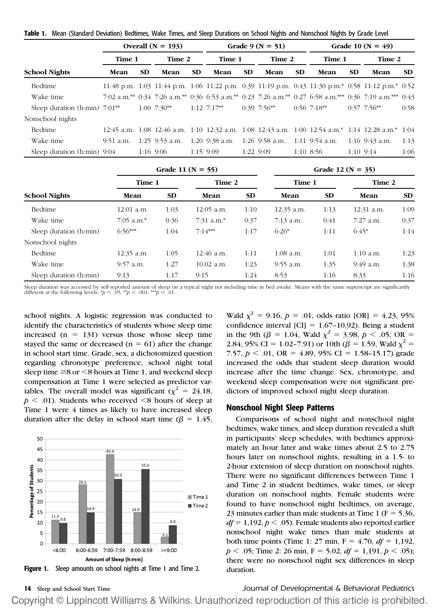|                                 | Overall $(N = 193)$ |     |               |           | Grade 9 ( $N = 51$ ) |     |               |           | Grade 10 ( $N = 49$ )                                       |     |                                                                                                         |           |
|---------------------------------|---------------------|-----|---------------|-----------|----------------------|-----|---------------|-----------|-------------------------------------------------------------|-----|---------------------------------------------------------------------------------------------------------|-----------|
|                                 | Time 1              |     | Time 2        |           | Time 1               |     | Time 2        |           | Time 1                                                      |     | Time 2                                                                                                  |           |
| <b>School Nights</b>            | Mean                | SD. | Mean          | <b>SD</b> | Mean                 | SD. | Mean          | <b>SD</b> | Mean                                                        | SD. | Mean                                                                                                    | <b>SD</b> |
| Bedtime                         |                     |     |               |           |                      |     |               |           |                                                             |     | 11:48 p.m. 1:03 11:44 p.m. 1:06 11:22 p.m. 0:39 11:19 p.m. 0:43 11:30 p.m.* 0:58 11:12 p.m.* 0:52       |           |
| Wake time                       |                     |     |               |           |                      |     |               |           |                                                             |     | 7:02 a.m.** 0:34 7:26 a.m.** 0:36 6:53 a.m.** 0:23 7:26 a.m.** 0:27 6:58 a.m.*** 0:36 7:19 a.m.*** 0:43 |           |
| Sleep duration $(h:min)$ 7:01** |                     |     | $1:00$ 7:30** |           | $1:12$ 7:17**        |     | $0:39$ 7:56** |           | $0:56$ 7:18**                                               |     | $0:57$ 7:56**                                                                                           | 0:58      |
| Nonschool nights                |                     |     |               |           |                      |     |               |           |                                                             |     |                                                                                                         |           |
| Bedtime                         |                     |     |               |           |                      |     |               |           |                                                             |     | 12:45 a.m. 1:08 12:46 a.m. 1:10 12:32 a.m. 1:08 12:43 a.m. 1:00 12:54 a.m.* 1:14 12:28 a.m.* 1:04       |           |
| Wake time                       | 9:51 a.m.           |     |               |           |                      |     |               |           | 1:25 9:53 a.m. 1:20 9:38 a.m. 1:26 9:58 a.m. 1:11 9:54 a.m. |     | 1:16 $9:43$ a.m.                                                                                        | 1:13      |
| Sleep duration $(h:min)$ 9:04   |                     |     | 1:16 9:06     |           | $1:15$ 9:09          |     | 1:22 9:09     |           | $1:10$ 8:56                                                 |     | $1:10$ 9:14                                                                                             | 1:06      |

Table 1. Mean (Standard Deviation) Bedtimes, Wake Times, and Sleep Durations on School Nights and Nonschool Nights by Grade Level

|                        |              |      | Grade 11 ( $N = 55$ ) | Grade 12 ( $N = 35$ ) |             |           |              |           |
|------------------------|--------------|------|-----------------------|-----------------------|-------------|-----------|--------------|-----------|
|                        | Time 1       |      | Time 2                |                       | Time 1      |           | Time 2       |           |
| <b>School Nights</b>   | Mean         | SD.  | Mean                  | SD.                   | Mean        | <b>SD</b> | Mean         | <b>SD</b> |
| Bedtime                | $12:01$ a.m. | 1:03 | $12:05$ a.m.          | 1:10                  | 12:35 a.m.  | 1:13      | $12:31$ a.m. | 1:09      |
| Wake time              | $7:05$ a.m.* | 0:36 | $7:31$ a.m.*          | 0:37                  | $7:13$ a.m. | 0:41      | $7:27$ a.m.  | 0:37      |
| Sleep duration (h:min) | $6:56***$    | 1:04 | $7.14***$             | 1:17                  | $6:26*$     | 1:11      | $6:45*$      | 1:14      |
| Nonschool nights       |              |      |                       |                       |             |           |              |           |
| Bedtime                | $12:35$ a.m. | 1:05 | $12:46$ a.m.          | 1:11                  | $1:08$ a.m. | 1:01      | $1:10$ a.m.  | 1:23      |
| Wake time              | $9:57$ a.m.  | 1:27 | $10:02$ a.m.          | 1:23                  | $9:55$ a.m. | 1:35      | 9:49 a.m.    | 1:38      |
| Sleep duration (h:min) | 9:13         | 1:17 | 9:15                  | 1:24                  | 8:53        | 1:16      | 8:33         | 1:16      |

Sleep duration was accessed by self-reported amount of sleep on a typical night not including time in bed awake. Means with the same superscript are significantly different at the following levels: \*p < .05; \*\*p < .001; \*\*\*p < .01.

school nights. A logistic regression was conducted to identify the characteristics of students whose sleep time increased  $(n = 131)$  versus those whose sleep time stayed the same or decreased ( $n = 61$ ) after the change in school start time. Grade, sex, a dichotomized question regarding chronotype preference, school night total sleep time  $\geq$ 8 or  $\leq$ 8 hours at Time 1, and weekend sleep compensation at Time 1 were selected as predictor variables. The overall model was significant ( $\chi^2 = 24.18$ ,  $p < .01$ ). Students who received  $\leq 8$  hours of sleep at Time 1 were 4 times as likely to have increased sleep duration after the delay in school start time ( $\beta = 1.45$ ,



Wald  $\chi^2 = 9.16$ ,  $p = .01$ , odds ratio [OR] = 4.23, 95% confidence interval [CI] =  $1.67$ –10.92). Being a student in the 9th ( $\beta$  = 1.04, Wald  $\chi^2$  = 3.98,  $p < .05$ , OR = 2.84, 95% CI = 1.02-7.91) or 10th ( $\beta$  = 1.59, Wald  $\chi^2$  = 7.57,  $p < .01$ , OR = 4.89, 95% CI = 1.58-15.17) grade increased the odds that student sleep duration would increase after the time change. Sex, chronotype, and weekend sleep compensation were not significant predictors of improved school night sleep duration.

#### Nonschool Night Sleep Patterns

Comparisons of school night and nonschool night bedtimes, wake times, and sleep duration revealed a shift in participants' sleep schedules, with bedtimes approximately an hour later and wake times about 2.5 to 2.75 hours later on nonschool nights, resulting in a 1.5- to 2-hour extension of sleep duration on nonschool nights. There were no significant differences between Time 1 and Time 2 in student bedtimes, wake times, or sleep duration on nonschool nights. Female students were found to have nonschool night bedtimes, on average, 23 minutes earlier than male students at Time 1 ( $F = 5.36$ ,  $df = 1,192, p < .05$ . Female students also reported earlier nonschool night wake times than male students at both time points (Time 1: 27 min,  $F = 4.70$ ,  $df = 1.192$ ,  $p < .05$ ; Time 2: 26 min, F = 5.02,  $df = 1,191, p < .05$ ); there were no nonschool night sex differences in sleep duration.

14 Sleep and School Start Time **14 Sleep and School Start Time** Journal of Developmental & Behavioral Pediatrics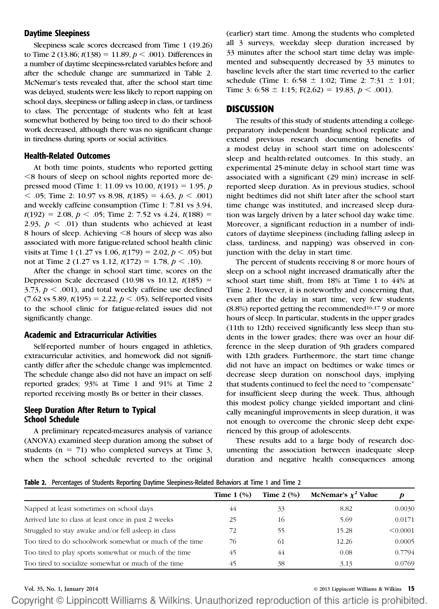#### Daytime Sleepiness

Sleepiness scale scores decreased from Time 1 (19.26) to Time 2 (13.86;  $t(138) = 11.89$ ,  $p < .001$ ). Differences in a number of daytime sleepiness-related variables before and after the schedule change are summarized in Table 2. McNemar's tests revealed that, after the school start time was delayed, students were less likely to report napping on school days, sleepiness or falling asleep in class, or tardiness to class. The percentage of students who felt at least somewhat bothered by being too tired to do their schoolwork decreased, although there was no significant change in tiredness during sports or social activities.

#### Health-Related Outcomes

At both time points, students who reported getting ,8 hours of sleep on school nights reported more depressed mood (Time 1: 11.09 vs 10.00,  $t(191) = 1.95$ , p  $<$  .05; Time 2: 10.97 vs 8.98,  $t(185) = 4.63$ ,  $p < .001$ ) and weekly caffeine consumption (Time 1: 7.81 vs 3.94,  $t(192) = 2.08, p < .05$ ; Time 2: 7.52 vs 4.24,  $t(188) =$ 2.93,  $p < .01$ ) than students who achieved at least 8 hours of sleep. Achieving <8 hours of sleep was also associated with more fatigue-related school health clinic visits at Time 1 (1.27 vs 1.06,  $t(179) = 2.02, p < .05$ ) but not at Time 2 (1.27 vs 1.12,  $t(172) = 1.78, p < .10$ ).

After the change in school start time, scores on the Depression Scale decreased (10.98 vs 10.12,  $t(185)$  = 3.73,  $p < .001$ ), and total weekly caffeine use declined  $(7.62 \text{ vs } 5.89, t(195) = 2.22, p < .05)$ . Self-reported visits to the school clinic for fatigue-related issues did not significantly change.

#### Academic and Extracurricular Activities

Self-reported number of hours engaged in athletics, extracurricular activities, and homework did not significantly differ after the schedule change was implemented. The schedule change also did not have an impact on selfreported grades; 93% at Time 1 and 91% at Time 2 reported receiving mostly Bs or better in their classes.

#### Sleep Duration After Return to Typical School Schedule

A preliminary repeated-measures analysis of variance (ANOVA) examined sleep duration among the subset of students ( $n = 71$ ) who completed surveys at Time 3, when the school schedule reverted to the original

(earlier) start time. Among the students who completed all 3 surveys, weekday sleep duration increased by 33 minutes after the school start time delay was implemented and subsequently decreased by 33 minutes to baseline levels after the start time reverted to the earlier schedule (Time 1: 6:58  $\pm$  1:02; Time 2: 7:31  $\pm$  1:01; Time 3: 6:58  $\pm$  1:15; F(2,62) = 19.83,  $p < .001$ ).

#### **DISCUSSION**

The results of this study of students attending a collegepreparatory independent boarding school replicate and extend previous research documenting benefits of a modest delay in school start time on adolescents' sleep and health-related outcomes. In this study, an experimental 25-minute delay in school start time was associated with a significant (29 min) increase in selfreported sleep duration. As in previous studies, school night bedtimes did not shift later after the school start time change was instituted, and increased sleep duration was largely driven by a later school day wake time. Moreover, a significant reduction in a number of indicators of daytime sleepiness (including falling asleep in class, tardiness, and napping) was observed in conjunction with the delay in start time.

The percent of students receiving 8 or more hours of sleep on a school night increased dramatically after the school start time shift, from 18% at Time 1 to 44% at Time 2. However, it is noteworthy and concerning that, even after the delay in start time, very few students  $(8.8\%)$  reported getting the recommended<sup>16,17</sup> 9 or more hours of sleep. In particular, students in the upper grades (11th to 12th) received significantly less sleep than students in the lower grades; there was over an hour difference in the sleep duration of 9th graders compared with 12th graders. Furthermore, the start time change did not have an impact on bedtimes or wake times or decrease sleep duration on nonschool days, implying that students continued to feel the need to "compensate" for insufficient sleep during the week. Thus, although this modest policy change yielded important and clinically meaningful improvements in sleep duration, it was not enough to overcome the chronic sleep debt experienced by this group of adolescents.

These results add to a large body of research documenting the association between inadequate sleep duration and negative health consequences among

Table 2. Percentages of Students Reporting Daytime Sleepiness-Related Behaviors at Time 1 and Time 2

|                                                         | Time $1 \left( \% \right)$ | Time $2 \left( \frac{0}{0} \right)$ | McNemar's $\chi^2$ Value | p        |
|---------------------------------------------------------|----------------------------|-------------------------------------|--------------------------|----------|
| Napped at least sometimes on school days                | 44                         | 33                                  | 8.82                     | 0.0030   |
| Arrived late to class at least once in past 2 weeks     | 25                         | 16                                  | 5.69                     | 0.0171   |
| Struggled to stay awake and/or fell asleep in class     | 72                         | 55                                  | 15.28                    | < 0.0001 |
| Too tired to do schoolwork somewhat or much of the time | 76                         | -61                                 | 12.26                    | 0.0005   |
| Too tired to play sports somewhat or much of the time   | 45                         | 44                                  | 0.08                     | 0.7794   |
| Too tired to socialize somewhat or much of the time     | 45                         | 38                                  | 3.13                     | 0.0769   |

#### Vol. 35, No. 1, January 2014 © 2013 Lippincott Williams & Wilkins 15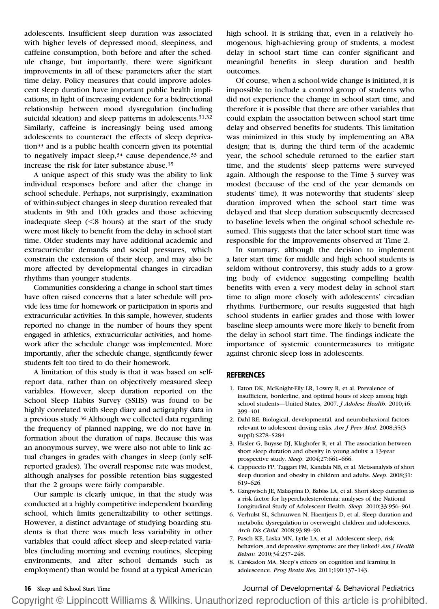adolescents. Insufficient sleep duration was associated with higher levels of depressed mood, sleepiness, and caffeine consumption, both before and after the schedule change, but importantly, there were significant improvements in all of these parameters after the start time delay. Policy measures that could improve adolescent sleep duration have important public health implications, in light of increasing evidence for a bidirectional relationship between mood dysregulation (including suicidal ideation) and sleep patterns in adolescents.<sup>31,32</sup> Similarly, caffeine is increasingly being used among adolescents to counteract the effects of sleep deprivation33 and is a public health concern given its potential to negatively impact sleep,<sup>34</sup> cause dependence,<sup>33</sup> and increase the risk for later substance abuse.35

A unique aspect of this study was the ability to link individual responses before and after the change in school schedule. Perhaps, not surprisingly, examination of within-subject changes in sleep duration revealed that students in 9th and 10th grades and those achieving inadequate sleep  $(< 8$  hours) at the start of the study were most likely to benefit from the delay in school start time. Older students may have additional academic and extracurricular demands and social pressures, which constrain the extension of their sleep, and may also be more affected by developmental changes in circadian rhythms than younger students.

Communities considering a change in school start times have often raised concerns that a later schedule will provide less time for homework or participation in sports and extracurricular activities. In this sample, however, students reported no change in the number of hours they spent engaged in athletics, extracurricular activities, and homework after the schedule change was implemented. More importantly, after the schedule change, significantly fewer students felt too tired to do their homework.

A limitation of this study is that it was based on selfreport data, rather than on objectively measured sleep variables. However, sleep duration reported on the School Sleep Habits Survey (SSHS) was found to be highly correlated with sleep diary and actigraphy data in a previous study.36 Although we collected data regarding the frequency of planned napping, we do not have information about the duration of naps. Because this was an anonymous survey, we were also not able to link actual changes in grades with changes in sleep (only selfreported grades). The overall response rate was modest, although analyses for possible retention bias suggested that the 2 groups were fairly comparable.

Our sample is clearly unique, in that the study was conducted at a highly competitive independent boarding school, which limits generalizability to other settings. However, a distinct advantage of studying boarding students is that there was much less variability in other variables that could affect sleep and sleep-related variables (including morning and evening routines, sleeping environments, and after school demands such as employment) than would be found at a typical American high school. It is striking that, even in a relatively homogenous, high-achieving group of students, a modest delay in school start time can confer significant and meaningful benefits in sleep duration and health outcomes.

Of course, when a school-wide change is initiated, it is impossible to include a control group of students who did not experience the change in school start time, and therefore it is possible that there are other variables that could explain the association between school start time delay and observed benefits for students. This limitation was minimized in this study by implementing an ABA design; that is, during the third term of the academic year, the school schedule returned to the earlier start time, and the students' sleep patterns were surveyed again. Although the response to the Time 3 survey was modest (because of the end of the year demands on students' time), it was noteworthy that students' sleep duration improved when the school start time was delayed and that sleep duration subsequently decreased to baseline levels when the original school schedule resumed. This suggests that the later school start time was responsible for the improvements observed at Time 2.

In summary, although the decision to implement a later start time for middle and high school students is seldom without controversy, this study adds to a growing body of evidence suggesting compelling health benefits with even a very modest delay in school start time to align more closely with adolescents' circadian rhythms. Furthermore, our results suggested that high school students in earlier grades and those with lower baseline sleep amounts were more likely to benefit from the delay in school start time. The findings indicate the importance of systemic countermeasures to mitigate against chronic sleep loss in adolescents.

#### **REFERENCES**

- 1. Eaton DK, McKnight-Eily LR, Lowry R, et al. Prevalence of insufficient, borderline, and optimal hours of sleep among high school students—United States, 2007. J Adolesc Health. 2010;46: 399–401.
- 2. Dahl RE. Biological, developmental, and neurobehavioral factors relevant to adolescent driving risks. Am J Prev Med. 2008;35(3) suppl):S278–S284.
- 3. Hasler G, Buysse DJ, Klaghofer R, et al. The association between short sleep duration and obesity in young adults: a 13-year prospective study. Sleep. 2004;27:661–666.
- 4. Cappuccio FP, Taggart FM, Kandala NB, et al. Meta-analysis of short sleep duration and obesity in children and adults. Sleep. 2008;31: 619–626.
- 5. Gangwisch JE, Malaspina D, Babiss LA, et al. Short sleep duration as a risk factor for hypercholesterolemia: analyses of the National Longitudinal Study of Adolescent Health. Sleep. 2010;33:956–961.
- 6. Verhulst SL, Schrauwen N, Haentjens D, et al. Sleep duration and metabolic dysregulation in overweight children and adolescents. Arch Dis Child. 2008;93:89–90.
- 7. Pasch KE, Laska MN, Lytle LA, et al. Adolescent sleep, risk behaviors, and depressive symptoms: are they linked? Am J Health Behav. 2010;34:237–248.
- 8. Carskadon MA. Sleep's effects on cognition and learning in adolescence. Prog Brain Res. 2011;190:137–143.

16 Sleep and School Start Time **Journal of Developmental & Behavioral Pediatrics**